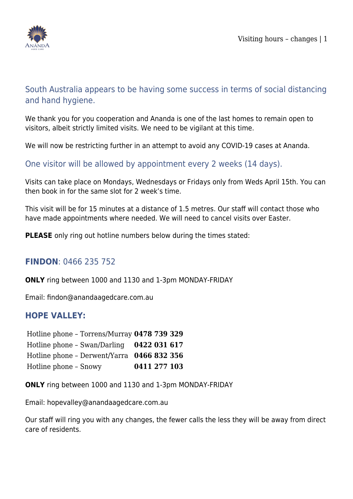

# South Australia appears to be having some success in terms of social distancing and hand hygiene.

We thank you for you cooperation and Ananda is one of the last homes to remain open to visitors, albeit strictly limited visits. We need to be vigilant at this time.

We will now be restricting further in an attempt to avoid any COVID-19 cases at Ananda.

One visitor will be allowed by appointment every 2 weeks (14 days).

Visits can take place on Mondays, Wednesdays or Fridays only from Weds April 15th. You can then book in for the same slot for 2 week's time.

This visit will be for 15 minutes at a distance of 1.5 metres. Our staff will contact those who have made appointments where needed. We will need to cancel visits over Easter.

**PLEASE** only ring out hotline numbers below during the times stated:

### **FINDON**: 0466 235 752

**ONLY** ring between 1000 and 1130 and 1-3pm MONDAY-FRIDAY

Email: findon@anandaagedcare.com.au

#### **HOPE VALLEY:**

Hotline phone – Torrens/Murray **0478 739 329** Hotline phone – Swan/Darling **0422 031 617** Hotline phone – Derwent/Yarra **0466 832 356** Hotline phone – Snowy **0411 277 103**

**ONLY** ring between 1000 and 1130 and 1-3pm MONDAY-FRIDAY

Email: hopevalley@anandaagedcare.com.au

Our staff will ring you with any changes, the fewer calls the less they will be away from direct care of residents.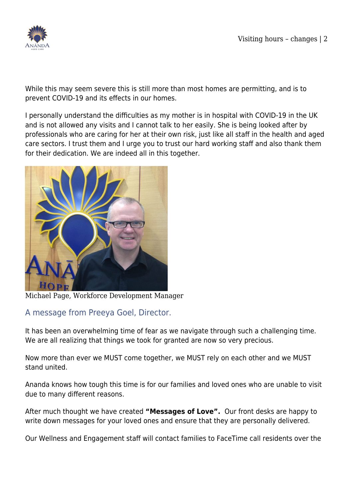

While this may seem severe this is still more than most homes are permitting, and is to prevent COVID-19 and its effects in our homes.

I personally understand the difficulties as my mother is in hospital with COVID-19 in the UK and is not allowed any visits and I cannot talk to her easily. She is being looked after by professionals who are caring for her at their own risk, just like all staff in the health and aged care sectors. I trust them and I urge you to trust our hard working staff and also thank them for their dedication. We are indeed all in this together.



Michael Page, Workforce Development Manager

### A message from Preeya Goel, Director.

It has been an overwhelming time of fear as we navigate through such a challenging time. We are all realizing that things we took for granted are now so very precious.

Now more than ever we MUST come together, we MUST rely on each other and we MUST stand united.

Ananda knows how tough this time is for our families and loved ones who are unable to visit due to many different reasons.

After much thought we have created **"Messages of Love".** Our front desks are happy to write down messages for your loved ones and ensure that they are personally delivered.

Our Wellness and Engagement staff will contact families to FaceTime call residents over the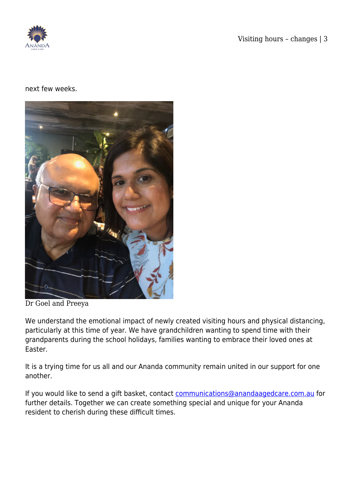

#### next few weeks.



Dr Goel and Preeya

We understand the emotional impact of newly created visiting hours and physical distancing, particularly at this time of year. We have grandchildren wanting to spend time with their grandparents during the school holidays, families wanting to embrace their loved ones at Easter.

It is a trying time for us all and our Ananda community remain united in our support for one another.

If you would like to send a gift basket, contact [communications@anandaagedcare.com.au](mailto:communications@anandaagedcare.com.au) for further details. Together we can create something special and unique for your Ananda resident to cherish during these difficult times.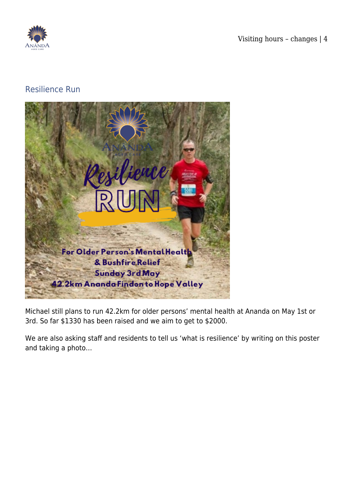

## Resilience Run



Michael still plans to run 42.2km for older persons' mental health at Ananda on May 1st or 3rd. So far \$1330 has been raised and we aim to get to \$2000.

We are also asking staff and residents to tell us 'what is resilience' by writing on this poster and taking a photo…